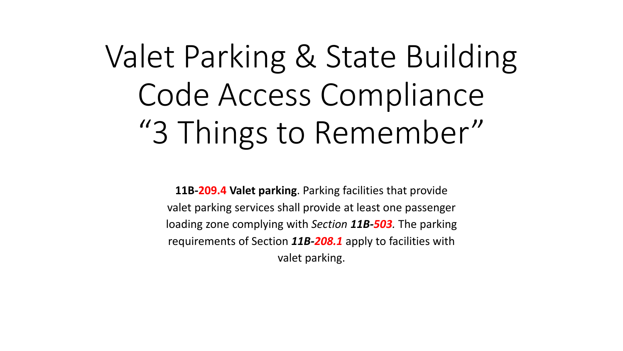# Valet Parking & State Building Code Access Compliance "3 Things to Remember"

**11B-209.4 Valet parking**. Parking facilities that provide valet parking services shall provide at least one passenger loading zone complying with *Section 11B-503.* The parking requirements of Section *11B-208.1* apply to facilities with valet parking.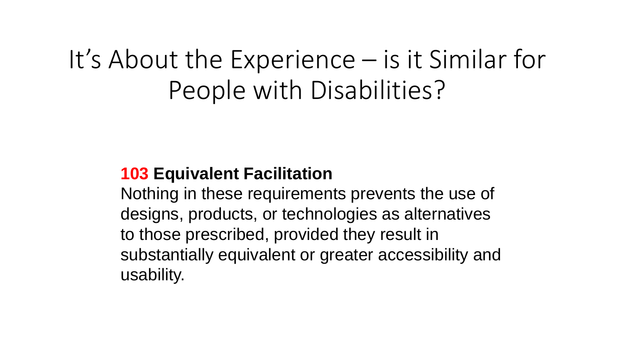## It's About the Experience – is it Similar for People with Disabilities?

### **103 Equivalent Facilitation**

Nothing in these requirements prevents the use of designs, products, or technologies as alternatives to those prescribed, provided they result in substantially equivalent or greater accessibility and usability.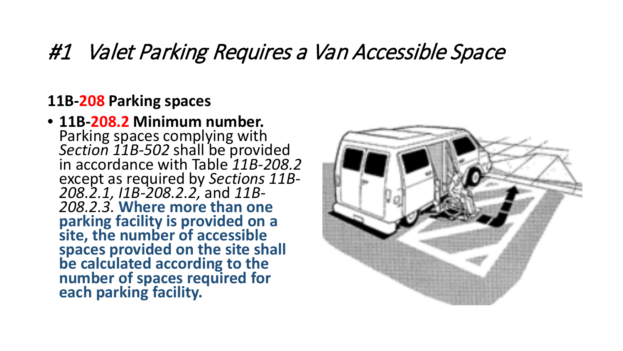## #1 Valet Parking Requires a Van Accessible Space

#### **11B-208 Parking spaces**

• **11B-208.2 Minimum number.**  Parking spaces complying with *Section 11B-502* shall be provided in accordance with Table *11B-208.2*  except as required by *Sections 11B- 208.2.1, I1B-208.2.2,* and *11B- 208.2.3.* **Where more than one parking facility is provided on a site, the number of accessible spaces provided on the site shall be calculated according to the number of spaces required for each parking facility.**